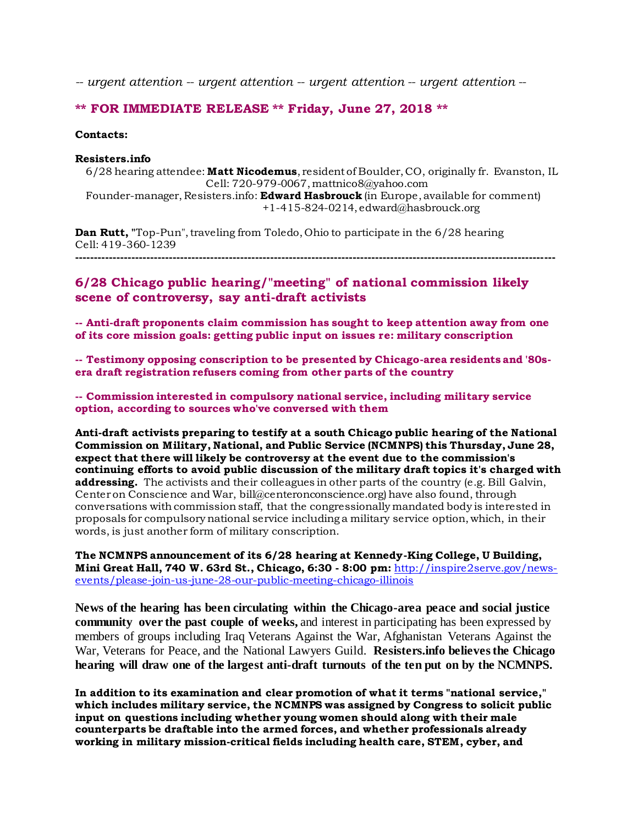*-- urgent attention -- urgent attention -- urgent attention -- urgent attention --*

### **\*\* FOR IMMEDIATE RELEASE \*\* Friday, June 27, 2018 \*\***

#### **Contacts:**

#### **Resisters.info**

6/28 hearing attendee: **Matt Nicodemus**, resident of Boulder, CO, originally fr. Evanston, IL Cell: 720-979-0067, mattnico8@yahoo.com

Founder-manager, Resisters.info: **Edward Hasbrouck** (in Europe, available for comment) +1-415-824-0214, edward@hasbrouck.org

**Dan Rutt,** "Top-Pun", traveling from Toledo, Ohio to participate in the 6/28 hearing Cell: 419-360-1239

**--------------------------------------------------------------------------------------------------------------------------------**

# **6/28 Chicago public hearing/"meeting" of national commission likely scene of controversy, say anti-draft activists**

**-- Anti-draft proponents claim commission has sought to keep attention away from one of its core mission goals: getting public input on issues re: military conscription** 

**-- Testimony opposing conscription to be presented by Chicago-area residents and '80sera draft registration refusers coming from other parts of the country**

**-- Commission interested in compulsory national service, including military service option, according to sources who've conversed with them**

**Anti-draft activists preparing to testify at a south Chicago public hearing of the National Commission on Military, National, and Public Service (NCMNPS) this Thursday, June 28, expect that there will likely be controversy at the event due to the commission's continuing efforts to avoid public discussion of the military draft topics it's charged with addressing.** The activists and their colleagues in other parts of the country (e.g. Bill Galvin, Center on Conscience and War, bill@centeronconscience.org) have also found, through conversations with commission staff, that the congressionally mandated body is interested in proposals for compulsory national service including a military service option, which, in their words, is just another form of military conscription.

**The NCMNPS announcement of its 6/28 hearing at Kennedy-King College, U Building, Mini Great Hall, 740 W. 63rd St., Chicago, 6:30 - 8:00 pm:** [http://inspire2serve.gov/news](http://inspire2serve.gov/news-events/please-join-us-june-28-our-public-meeting-chicago-illinois)[events/please-join-us-june-28-our-public-meeting-chicago-illinois](http://inspire2serve.gov/news-events/please-join-us-june-28-our-public-meeting-chicago-illinois)

**News of the hearing has been circulating within the Chicago-area peace and social justice community over the past couple of weeks,** and interest in participating has been expressed by members of groups including Iraq Veterans Against the War, Afghanistan Veterans Against the War, Veterans for Peace, and the National Lawyers Guild. **Resisters.info believes the Chicago hearing will draw one of the largest anti-draft turnouts of the ten put on by the NCMNPS.**

**In addition to its examination and clear promotion of what it terms "national service," which includes military service, the NCMNPS was assigned by Congress to solicit public input on questions including whether young women should along with their male counterparts be draftable into the armed forces, and whether professionals already working in military mission-critical fields including health care, STEM, cyber, and**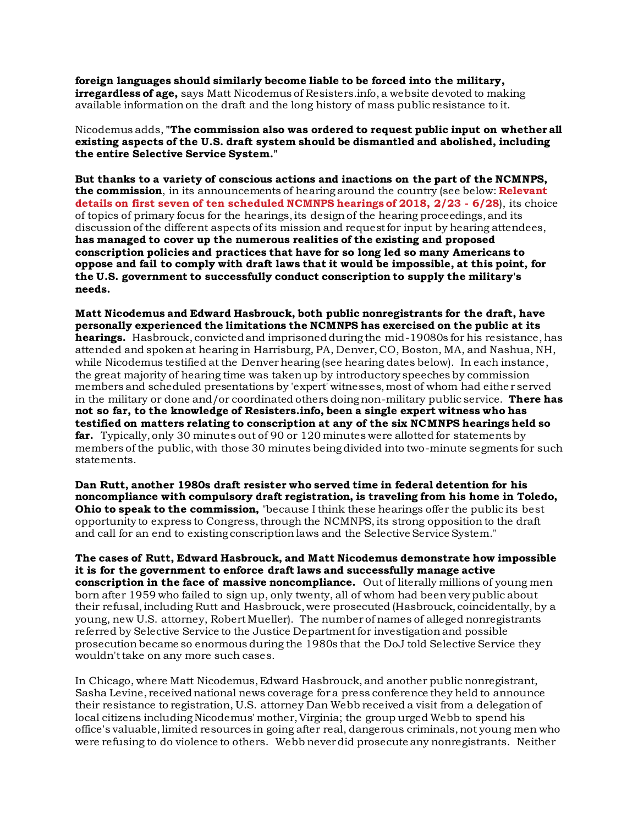**foreign languages should similarly become liable to be forced into the military, irregardless of age,** says Matt Nicodemus of Resisters.info, a website devoted to making available information on the draft and the long history of mass public resistance to it.

Nicodemus adds, **"The commission also was ordered to request public input on whether all existing aspects of the U.S. draft system should be dismantled and abolished, including the entire Selective Service System."**

**But thanks to a variety of conscious actions and inactions on the part of the NCMNPS, the commission**, in its announcements of hearing around the country (see below: **Relevant details on first seven of ten scheduled NCMNPS hearings of 2018, 2/23 - 6/28**), its choice of topics of primary focus for the hearings, its design of the hearing proceedings, and its discussion of the different aspects of its mission and request for input by hearing attendees, **has managed to cover up the numerous realities of the existing and proposed conscription policies and practices that have for so long led so many Americans to oppose and fail to comply with draft laws that it would be impossible, at this point, for the U.S. government to successfully conduct conscription to supply the military's needs.** 

**Matt Nicodemus and Edward Hasbrouck, both public nonregistrants for the draft, have personally experienced the limitations the NCMNPS has exercised on the public at its hearings.** Hasbrouck, convicted and imprisoned during the mid-19080s for his resistance, has attended and spoken at hearing in Harrisburg, PA, Denver, CO, Boston, MA, and Nashua, NH, while Nicodemus testified at the Denver hearing (see hearing dates below). In each instance, the great majority of hearing time was taken up by introductory speeches by commission members and scheduled presentations by 'expert' witnesses, most of whom had eithe r served in the military or done and/or coordinated others doing non-military public service. **There has not so far, to the knowledge of Resisters.info, been a single expert witness who has testified on matters relating to conscription at any of the six NCMNPS hearings held so far.** Typically, only 30 minutes out of 90 or 120 minutes were allotted for statements by members of the public, with those 30 minutes being divided into two-minute segments for such statements.

**Dan Rutt, another 1980s draft resister who served time in federal detention for his noncompliance with compulsory draft registration, is traveling from his home in Toledo, Ohio to speak to the commission,** "because I think these hearings offer the public its best opportunity to express to Congress, through the NCMNPS, its strong opposition to the draft and call for an end to existing conscription laws and the Selective Service System."

**The cases of Rutt, Edward Hasbrouck, and Matt Nicodemus demonstrate how impossible it is for the government to enforce draft laws and successfully manage active conscription in the face of massive noncompliance.** Out of literally millions of young men born after 1959 who failed to sign up, only twenty, all of whom had been very public about their refusal, including Rutt and Hasbrouck, were prosecuted (Hasbrouck, coincidentally, by a young, new U.S. attorney, Robert Mueller). The number of names of alleged nonregistrants referred by Selective Service to the Justice Department for investigation and possible prosecution became so enormous during the 1980s that the DoJ told Selective Service they wouldn't take on any more such cases.

In Chicago, where Matt Nicodemus, Edward Hasbrouck, and another public nonregistrant, Sasha Levine, received national news coverage for a press conference they held to announce their resistance to registration, U.S. attorney Dan Webb received a visit from a delegation of local citizens including Nicodemus' mother, Virginia; the group urged Webb to spend his office's valuable, limited resources in going after real, dangerous criminals, not young men who were refusing to do violence to others. Webb never did prosecute any nonregistrants. Neither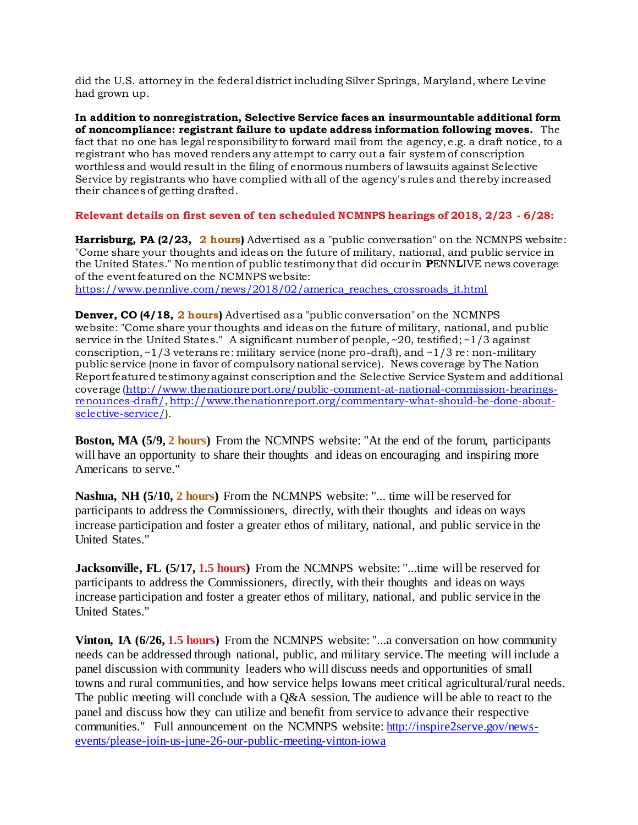did the U.S. attorney in the federal district including Silver Springs, Maryland, where Le vine had grown up.

**In addition to nonregistration, Selective Service faces an insurmountable additional form of noncompliance: registrant failure to update address information following moves.** The fact that no one has legal responsibility to forward mail from the agency, e.g. a draft notice, to a registrant who has moved renders any attempt to carry out a fair system of conscription worthless and would result in the filing of enormous numbers of lawsuits against Selective Service by registrants who have complied with all of the agency's rules and thereby increased their chances of getting drafted.

## **Relevant details on first seven of ten scheduled NCMNPS hearings of 2018, 2/23 - 6/28:**

**Harrisburg, PA (2/23, 2 hours)** Advertised as a "public conversation" on the NCMNPS website: "Come share your thoughts and ideas on the future of military, national, and public service in the United States." No mention of public testimony that did occur in **P**ENN**L**IVE news coverage of the event featured on the NCMNPS website:

[https://www.pennlive.com/news/2018/02/america\\_reaches\\_crossroads\\_it.html](https://www.pennlive.com/news/2018/02/america_reaches_crossroads_it.html)

**Denver, CO (4/18, 2 hours)** Advertised as a "public conversation" on the NCMNPS website: "Come share your thoughts and ideas on the future of military, national, and public service in the United States." A significant number of people,  $\sim$  20, testified;  $\sim$  1/3 against conscription, ~1/3 veterans re: military service (none pro-draft), and ~1/3 re: non-military public service (none in favor of compulsory national service). News coverage by The Nation Report featured testimony against conscription and the Selective Service System and additional coverage [\(http://www.thenationreport.org/public-comment-at-national-commission-hearings](http://www.thenationreport.org/public-comment-at-national-commission-hearings-renounces-draft/)[renounces-draft/](http://www.thenationreport.org/public-comment-at-national-commission-hearings-renounces-draft/)[, http://www.thenationreport.org/commentary-what-should-be-done-about](http://www.thenationreport.org/commentary-what-should-be-done-about-selective-service/)[selective-service/\)](http://www.thenationreport.org/commentary-what-should-be-done-about-selective-service/).

**Boston, MA (5/9, 2 hours)** From the NCMNPS website: "At the end of the forum, participants will have an opportunity to share their thoughts and ideas on encouraging and inspiring more Americans to serve."

**Nashua, NH (5/10, 2 hours)** From the NCMNPS website: "... time will be reserved for participants to address the Commissioners, directly, with their thoughts and ideas on ways increase participation and foster a greater ethos of military, national, and public service in the United States."

**Jacksonville, FL (5/17, 1.5 hours)** From the NCMNPS website: "...time will be reserved for participants to address the Commissioners, directly, with their thoughts and ideas on ways increase participation and foster a greater ethos of military, national, and public service in the United States."

**Vinton, IA (6/26, 1.5 hours)** From the NCMNPS website: "...a conversation on how community needs can be addressed through national, public, and military service. The meeting will include a panel discussion with community leaders who will discuss needs and opportunities of small towns and rural communities, and how service helps Iowans meet critical agricultural/rural needs. The public meeting will conclude with a Q&A session. The audience will be able to react to the panel and discuss how they can utilize and benefit from service to advance their respective communities." Full announcement on the NCMNPS website: [http://inspire2serve.gov/news](http://inspire2serve.gov/news-events/please-join-us-june-26-our-public-meeting-vinton-iowa)[events/please-join-us-june-26-our-public-meeting-vinton-iowa](http://inspire2serve.gov/news-events/please-join-us-june-26-our-public-meeting-vinton-iowa)